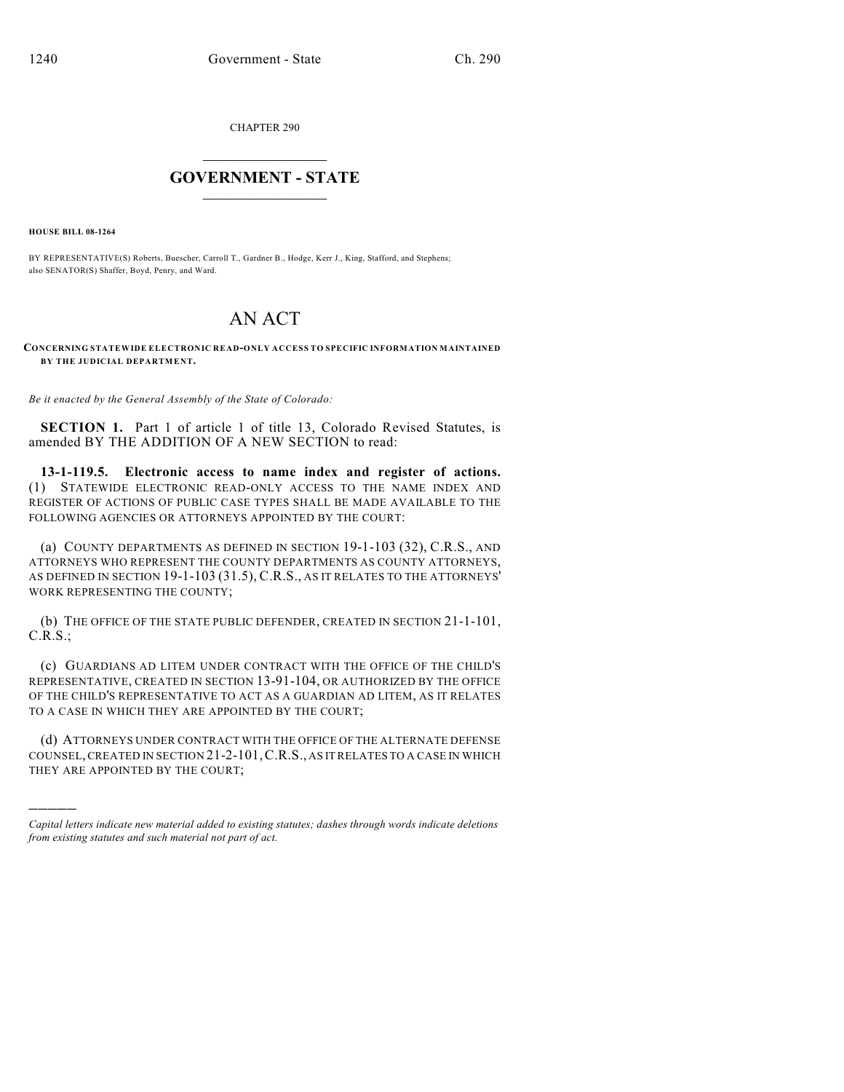CHAPTER 290

## $\mathcal{L}_\text{max}$  . The set of the set of the set of the set of the set of the set of the set of the set of the set of the set of the set of the set of the set of the set of the set of the set of the set of the set of the set **GOVERNMENT - STATE**  $\_$   $\_$   $\_$   $\_$   $\_$   $\_$   $\_$   $\_$   $\_$

**HOUSE BILL 08-1264**

)))))

BY REPRESENTATIVE(S) Roberts, Buescher, Carroll T., Gardner B., Hodge, Kerr J., King, Stafford, and Stephens; also SENATOR(S) Shaffer, Boyd, Penry, and Ward.

## AN ACT

## **CONCERNING STATEWIDE ELECTRONIC READ-ONLY ACCESS TO SPECIFIC INFORMATION MAINTAINED BY THE JUDICIAL DEPARTMENT.**

*Be it enacted by the General Assembly of the State of Colorado:*

**SECTION 1.** Part 1 of article 1 of title 13, Colorado Revised Statutes, is amended BY THE ADDITION OF A NEW SECTION to read:

**13-1-119.5. Electronic access to name index and register of actions.** (1) STATEWIDE ELECTRONIC READ-ONLY ACCESS TO THE NAME INDEX AND REGISTER OF ACTIONS OF PUBLIC CASE TYPES SHALL BE MADE AVAILABLE TO THE FOLLOWING AGENCIES OR ATTORNEYS APPOINTED BY THE COURT:

(a) COUNTY DEPARTMENTS AS DEFINED IN SECTION 19-1-103 (32), C.R.S., AND ATTORNEYS WHO REPRESENT THE COUNTY DEPARTMENTS AS COUNTY ATTORNEYS, AS DEFINED IN SECTION 19-1-103 (31.5), C.R.S., AS IT RELATES TO THE ATTORNEYS' WORK REPRESENTING THE COUNTY;

(b) THE OFFICE OF THE STATE PUBLIC DEFENDER, CREATED IN SECTION 21-1-101, C.R.S.;

(c) GUARDIANS AD LITEM UNDER CONTRACT WITH THE OFFICE OF THE CHILD'S REPRESENTATIVE, CREATED IN SECTION 13-91-104, OR AUTHORIZED BY THE OFFICE OF THE CHILD'S REPRESENTATIVE TO ACT AS A GUARDIAN AD LITEM, AS IT RELATES TO A CASE IN WHICH THEY ARE APPOINTED BY THE COURT;

(d) ATTORNEYS UNDER CONTRACT WITH THE OFFICE OF THE ALTERNATE DEFENSE COUNSEL, CREATED IN SECTION 21-2-101,C.R.S., AS IT RELATES TO A CASE IN WHICH THEY ARE APPOINTED BY THE COURT;

*Capital letters indicate new material added to existing statutes; dashes through words indicate deletions from existing statutes and such material not part of act.*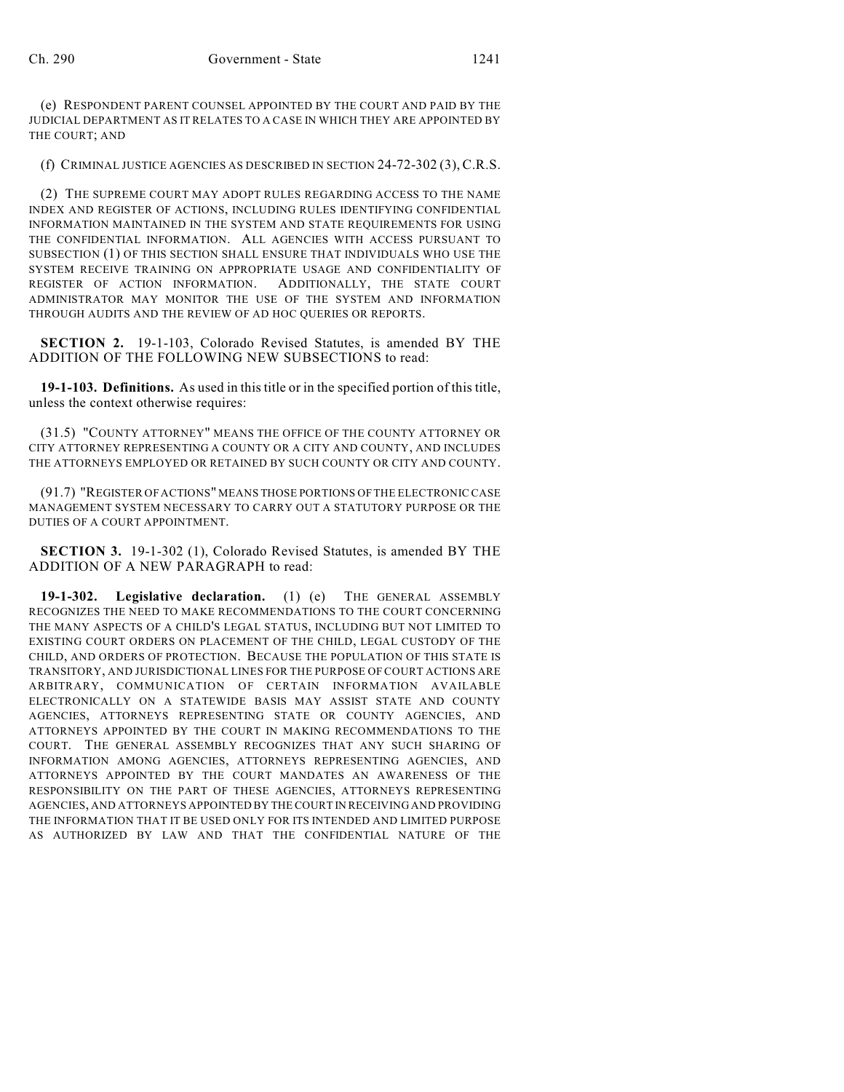(e) RESPONDENT PARENT COUNSEL APPOINTED BY THE COURT AND PAID BY THE JUDICIAL DEPARTMENT AS IT RELATES TO A CASE IN WHICH THEY ARE APPOINTED BY THE COURT; AND

(f) CRIMINAL JUSTICE AGENCIES AS DESCRIBED IN SECTION 24-72-302 (3), C.R.S.

(2) THE SUPREME COURT MAY ADOPT RULES REGARDING ACCESS TO THE NAME INDEX AND REGISTER OF ACTIONS, INCLUDING RULES IDENTIFYING CONFIDENTIAL INFORMATION MAINTAINED IN THE SYSTEM AND STATE REQUIREMENTS FOR USING THE CONFIDENTIAL INFORMATION. ALL AGENCIES WITH ACCESS PURSUANT TO SUBSECTION (1) OF THIS SECTION SHALL ENSURE THAT INDIVIDUALS WHO USE THE SYSTEM RECEIVE TRAINING ON APPROPRIATE USAGE AND CONFIDENTIALITY OF REGISTER OF ACTION INFORMATION. ADDITIONALLY, THE STATE COURT ADMINISTRATOR MAY MONITOR THE USE OF THE SYSTEM AND INFORMATION THROUGH AUDITS AND THE REVIEW OF AD HOC QUERIES OR REPORTS.

**SECTION 2.** 19-1-103, Colorado Revised Statutes, is amended BY THE ADDITION OF THE FOLLOWING NEW SUBSECTIONS to read:

**19-1-103. Definitions.** As used in this title or in the specified portion of this title, unless the context otherwise requires:

(31.5) "COUNTY ATTORNEY" MEANS THE OFFICE OF THE COUNTY ATTORNEY OR CITY ATTORNEY REPRESENTING A COUNTY OR A CITY AND COUNTY, AND INCLUDES THE ATTORNEYS EMPLOYED OR RETAINED BY SUCH COUNTY OR CITY AND COUNTY.

(91.7) "REGISTER OF ACTIONS" MEANS THOSE PORTIONS OF THE ELECTRONIC CASE MANAGEMENT SYSTEM NECESSARY TO CARRY OUT A STATUTORY PURPOSE OR THE DUTIES OF A COURT APPOINTMENT.

**SECTION 3.** 19-1-302 (1), Colorado Revised Statutes, is amended BY THE ADDITION OF A NEW PARAGRAPH to read:

**19-1-302. Legislative declaration.** (1) (e) THE GENERAL ASSEMBLY RECOGNIZES THE NEED TO MAKE RECOMMENDATIONS TO THE COURT CONCERNING THE MANY ASPECTS OF A CHILD'S LEGAL STATUS, INCLUDING BUT NOT LIMITED TO EXISTING COURT ORDERS ON PLACEMENT OF THE CHILD, LEGAL CUSTODY OF THE CHILD, AND ORDERS OF PROTECTION. BECAUSE THE POPULATION OF THIS STATE IS TRANSITORY, AND JURISDICTIONAL LINES FOR THE PURPOSE OF COURT ACTIONS ARE ARBITRARY, COMMUNICATION OF CERTAIN INFORMATION AVAILABLE ELECTRONICALLY ON A STATEWIDE BASIS MAY ASSIST STATE AND COUNTY AGENCIES, ATTORNEYS REPRESENTING STATE OR COUNTY AGENCIES, AND ATTORNEYS APPOINTED BY THE COURT IN MAKING RECOMMENDATIONS TO THE COURT. THE GENERAL ASSEMBLY RECOGNIZES THAT ANY SUCH SHARING OF INFORMATION AMONG AGENCIES, ATTORNEYS REPRESENTING AGENCIES, AND ATTORNEYS APPOINTED BY THE COURT MANDATES AN AWARENESS OF THE RESPONSIBILITY ON THE PART OF THESE AGENCIES, ATTORNEYS REPRESENTING AGENCIES, AND ATTORNEYS APPOINTED BY THE COURT IN RECEIVING AND PROVIDING THE INFORMATION THAT IT BE USED ONLY FOR ITS INTENDED AND LIMITED PURPOSE AS AUTHORIZED BY LAW AND THAT THE CONFIDENTIAL NATURE OF THE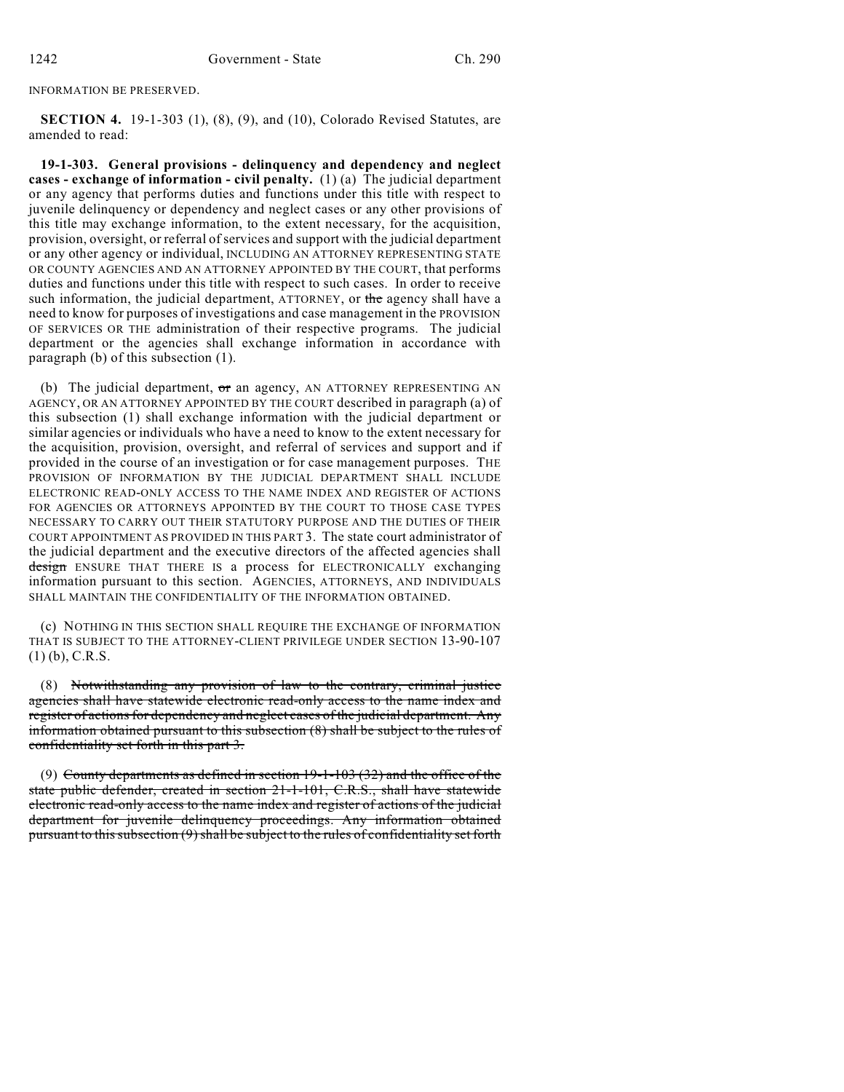INFORMATION BE PRESERVED.

**SECTION 4.** 19-1-303 (1), (8), (9), and (10), Colorado Revised Statutes, are amended to read:

**19-1-303. General provisions - delinquency and dependency and neglect cases - exchange of information - civil penalty.** (1) (a) The judicial department or any agency that performs duties and functions under this title with respect to juvenile delinquency or dependency and neglect cases or any other provisions of this title may exchange information, to the extent necessary, for the acquisition, provision, oversight, or referral of services and support with the judicial department or any other agency or individual, INCLUDING AN ATTORNEY REPRESENTING STATE OR COUNTY AGENCIES AND AN ATTORNEY APPOINTED BY THE COURT, that performs duties and functions under this title with respect to such cases. In order to receive such information, the judicial department, ATTORNEY, or the agency shall have a need to know for purposes of investigations and case management in the PROVISION OF SERVICES OR THE administration of their respective programs. The judicial department or the agencies shall exchange information in accordance with paragraph (b) of this subsection (1).

(b) The judicial department,  $\sigma r$  an agency, AN ATTORNEY REPRESENTING AN AGENCY, OR AN ATTORNEY APPOINTED BY THE COURT described in paragraph (a) of this subsection (1) shall exchange information with the judicial department or similar agencies or individuals who have a need to know to the extent necessary for the acquisition, provision, oversight, and referral of services and support and if provided in the course of an investigation or for case management purposes. THE PROVISION OF INFORMATION BY THE JUDICIAL DEPARTMENT SHALL INCLUDE ELECTRONIC READ-ONLY ACCESS TO THE NAME INDEX AND REGISTER OF ACTIONS FOR AGENCIES OR ATTORNEYS APPOINTED BY THE COURT TO THOSE CASE TYPES NECESSARY TO CARRY OUT THEIR STATUTORY PURPOSE AND THE DUTIES OF THEIR COURT APPOINTMENT AS PROVIDED IN THIS PART 3. The state court administrator of the judicial department and the executive directors of the affected agencies shall design ENSURE THAT THERE IS a process for ELECTRONICALLY exchanging information pursuant to this section. AGENCIES, ATTORNEYS, AND INDIVIDUALS SHALL MAINTAIN THE CONFIDENTIALITY OF THE INFORMATION OBTAINED.

(c) NOTHING IN THIS SECTION SHALL REQUIRE THE EXCHANGE OF INFORMATION THAT IS SUBJECT TO THE ATTORNEY-CLIENT PRIVILEGE UNDER SECTION 13-90-107 (1) (b), C.R.S.

(8) Notwithstanding any provision of law to the contrary, criminal justice agencies shall have statewide electronic read-only access to the name index and register of actions for dependency and neglect cases of the judicial department. Any information obtained pursuant to this subsection (8) shall be subject to the rules of confidentiality set forth in this part 3.

(9) County departments as defined in section  $19-1-103$  (32) and the office of the state public defender, created in section 21-1-101, C.R.S., shall have statewide electronic read-only access to the name index and register of actions of the judicial department for juvenile delinquency proceedings. Any information obtained pursuant to this subsection (9) shall be subject to the rules of confidentiality set forth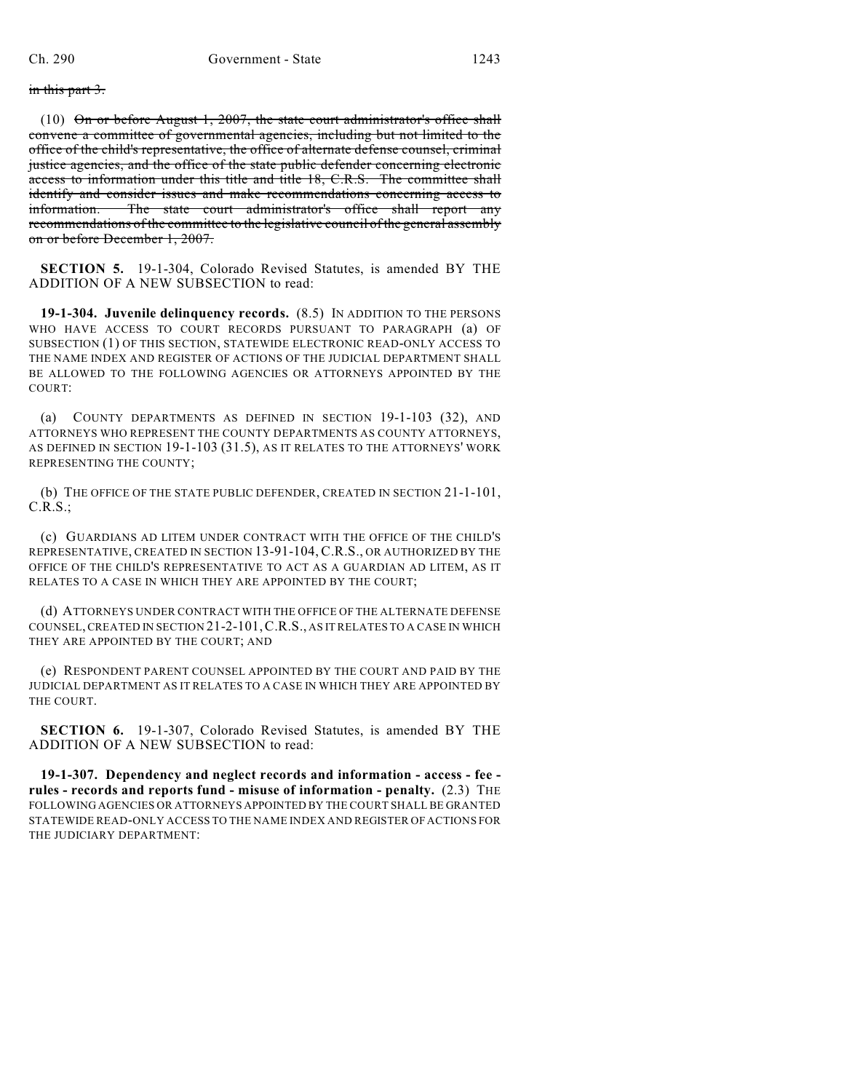in this part 3.

(10)  $\Theta$ n or before August 1, 2007, the state court administrator's office shall convene a committee of governmental agencies, including but not limited to the office of the child's representative, the office of alternate defense counsel, criminal justice agencies, and the office of the state public defender concerning electronic access to information under this title and title 18, C.R.S. The committee shall identify and consider issues and make recommendations concerning access to information. The state court administrator's office shall report any recommendations of the committee to the legislative council of the general assembly on or before December 1, 2007.

**SECTION 5.** 19-1-304, Colorado Revised Statutes, is amended BY THE ADDITION OF A NEW SUBSECTION to read:

**19-1-304. Juvenile delinquency records.** (8.5) IN ADDITION TO THE PERSONS WHO HAVE ACCESS TO COURT RECORDS PURSUANT TO PARAGRAPH (a) OF SUBSECTION (1) OF THIS SECTION, STATEWIDE ELECTRONIC READ-ONLY ACCESS TO THE NAME INDEX AND REGISTER OF ACTIONS OF THE JUDICIAL DEPARTMENT SHALL BE ALLOWED TO THE FOLLOWING AGENCIES OR ATTORNEYS APPOINTED BY THE COURT:

(a) COUNTY DEPARTMENTS AS DEFINED IN SECTION 19-1-103 (32), AND ATTORNEYS WHO REPRESENT THE COUNTY DEPARTMENTS AS COUNTY ATTORNEYS, AS DEFINED IN SECTION 19-1-103 (31.5), AS IT RELATES TO THE ATTORNEYS' WORK REPRESENTING THE COUNTY;

(b) THE OFFICE OF THE STATE PUBLIC DEFENDER, CREATED IN SECTION 21-1-101, C.R.S.;

(c) GUARDIANS AD LITEM UNDER CONTRACT WITH THE OFFICE OF THE CHILD'S REPRESENTATIVE, CREATED IN SECTION 13-91-104, C.R.S., OR AUTHORIZED BY THE OFFICE OF THE CHILD'S REPRESENTATIVE TO ACT AS A GUARDIAN AD LITEM, AS IT RELATES TO A CASE IN WHICH THEY ARE APPOINTED BY THE COURT;

(d) ATTORNEYS UNDER CONTRACT WITH THE OFFICE OF THE ALTERNATE DEFENSE COUNSEL, CREATED IN SECTION 21-2-101,C.R.S., AS IT RELATES TO A CASE IN WHICH THEY ARE APPOINTED BY THE COURT; AND

(e) RESPONDENT PARENT COUNSEL APPOINTED BY THE COURT AND PAID BY THE JUDICIAL DEPARTMENT AS IT RELATES TO A CASE IN WHICH THEY ARE APPOINTED BY THE COURT.

**SECTION 6.** 19-1-307, Colorado Revised Statutes, is amended BY THE ADDITION OF A NEW SUBSECTION to read:

**19-1-307. Dependency and neglect records and information - access - fee rules - records and reports fund - misuse of information - penalty.** (2.3) THE FOLLOWING AGENCIES OR ATTORNEYS APPOINTED BY THE COURT SHALL BE GRANTED STATEWIDE READ-ONLY ACCESS TO THE NAME INDEX AND REGISTER OF ACTIONS FOR THE JUDICIARY DEPARTMENT: